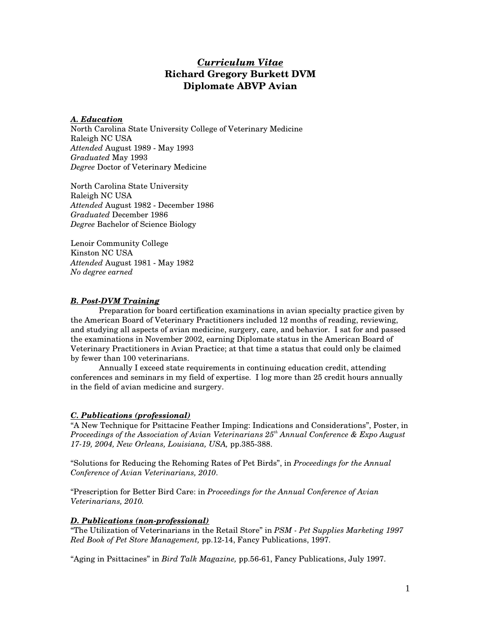# *Curriculum Vitae*  **Richard Gregory Burkett DVM Diplomate ABVP Avian**

## *A. Education*

North Carolina State University College of Veterinary Medicine Raleigh NC USA *Attended* August 1989 - May 1993 *Graduated* May 1993 *Degree* Doctor of Veterinary Medicine

North Carolina State University Raleigh NC USA *Attended* August 1982 - December 1986 *Graduated* December 1986 *Degree* Bachelor of Science Biology

Lenoir Community College Kinston NC USA *Attended* August 1981 - May 1982 *No degree earned* 

## *B. Post-DVM Training*

Preparation for board certification examinations in avian specialty practice given by the American Board of Veterinary Practitioners included 12 months of reading, reviewing, and studying all aspects of avian medicine, surgery, care, and behavior. I sat for and passed the examinations in November 2002, earning Diplomate status in the American Board of Veterinary Practitioners in Avian Practice; at that time a status that could only be claimed by fewer than 100 veterinarians.

Annually I exceed state requirements in continuing education credit, attending conferences and seminars in my field of expertise. I log more than 25 credit hours annually in the field of avian medicine and surgery.

# *C. Publications (professional)*

"A New Technique for Psittacine Feather Imping: Indications and Considerations", Poster, in *Proceedings of the Association of Avian Veterinarians 25th Annual Conference & Expo August 17-19, 2004, New Orleans, Louisiana, USA,* pp.385-388.

"Solutions for Reducing the Rehoming Rates of Pet Birds", in *Proceedings for the Annual Conference of Avian Veterinarians, 2010*.

"Prescription for Better Bird Care: in *Proceedings for the Annual Conference of Avian Veterinarians, 2010.* 

# *D. Publications (non-professional)*

"The Utilization of Veterinarians in the Retail Store" in *PSM - Pet Supplies Marketing 1997 Red Book of Pet Store Management,* pp.12-14, Fancy Publications, 1997.

"Aging in Psittacines" in *Bird Talk Magazine,* pp.56-61, Fancy Publications, July 1997.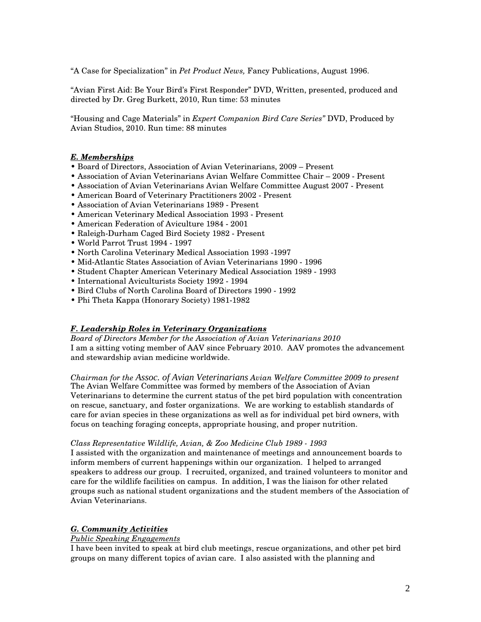"A Case for Specialization" in *Pet Product News,* Fancy Publications, August 1996.

"Avian First Aid: Be Your Bird's First Responder" DVD, Written, presented, produced and directed by Dr. Greg Burkett, 2010, Run time: 53 minutes

"Housing and Cage Materials" in *Expert Companion Bird Care Series"* DVD, Produced by Avian Studios, 2010. Run time: 88 minutes

## *E. Memberships*

- Board of Directors, Association of Avian Veterinarians, 2009 Present
- Association of Avian Veterinarians Avian Welfare Committee Chair 2009 Present
- Association of Avian Veterinarians Avian Welfare Committee August 2007 Present
- American Board of Veterinary Practitioners 2002 Present
- Association of Avian Veterinarians 1989 Present
- American Veterinary Medical Association 1993 Present
- American Federation of Aviculture 1984 2001
- Raleigh-Durham Caged Bird Society 1982 Present
- World Parrot Trust 1994 1997
- North Carolina Veterinary Medical Association 1993 -1997
- Mid-Atlantic States Association of Avian Veterinarians 1990 1996
- Student Chapter American Veterinary Medical Association 1989 1993
- International Aviculturists Society 1992 1994
- Bird Clubs of North Carolina Board of Directors 1990 1992
- Phi Theta Kappa (Honorary Society) 1981-1982

#### *F. Leadership Roles in Veterinary Organizations*

*Board of Directors Member for the Association of Avian Veterinarians 2010*  I am a sitting voting member of AAV since February 2010. AAV promotes the advancement and stewardship avian medicine worldwide.

*Chairman for the Assoc. of Avian Veterinarians Avian Welfare Committee 2009 to present*  The Avian Welfare Committee was formed by members of the Association of Avian Veterinarians to determine the current status of the pet bird population with concentration on rescue, sanctuary, and foster organizations. We are working to establish standards of care for avian species in these organizations as well as for individual pet bird owners, with focus on teaching foraging concepts, appropriate housing, and proper nutrition.

#### *Class Representative Wildlife, Avian, & Zoo Medicine Club 1989 - 1993*

I assisted with the organization and maintenance of meetings and announcement boards to inform members of current happenings within our organization. I helped to arranged speakers to address our group. I recruited, organized, and trained volunteers to monitor and care for the wildlife facilities on campus. In addition, I was the liaison for other related groups such as national student organizations and the student members of the Association of Avian Veterinarians.

# *G. Community Activities*

#### *Public Speaking Engagements*

I have been invited to speak at bird club meetings, rescue organizations, and other pet bird groups on many different topics of avian care. I also assisted with the planning and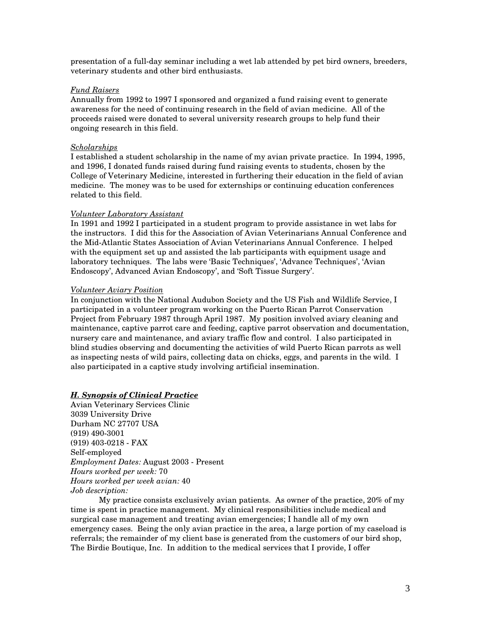presentation of a full-day seminar including a wet lab attended by pet bird owners, breeders, veterinary students and other bird enthusiasts.

#### *Fund Raisers*

Annually from 1992 to 1997 I sponsored and organized a fund raising event to generate awareness for the need of continuing research in the field of avian medicine. All of the proceeds raised were donated to several university research groups to help fund their ongoing research in this field.

#### *Scholarships*

I established a student scholarship in the name of my avian private practice. In 1994, 1995, and 1996, I donated funds raised during fund raising events to students, chosen by the College of Veterinary Medicine, interested in furthering their education in the field of avian medicine. The money was to be used for externships or continuing education conferences related to this field.

#### *Volunteer Laboratory Assistant*

In 1991 and 1992 I participated in a student program to provide assistance in wet labs for the instructors. I did this for the Association of Avian Veterinarians Annual Conference and the Mid-Atlantic States Association of Avian Veterinarians Annual Conference. I helped with the equipment set up and assisted the lab participants with equipment usage and laboratory techniques. The labs were 'Basic Techniques', 'Advance Techniques', 'Avian Endoscopy', Advanced Avian Endoscopy', and 'Soft Tissue Surgery'.

#### *Volunteer Aviary Position*

In conjunction with the National Audubon Society and the US Fish and Wildlife Service, I participated in a volunteer program working on the Puerto Rican Parrot Conservation Project from February 1987 through April 1987. My position involved aviary cleaning and maintenance, captive parrot care and feeding, captive parrot observation and documentation, nursery care and maintenance, and aviary traffic flow and control. I also participated in blind studies observing and documenting the activities of wild Puerto Rican parrots as well as inspecting nests of wild pairs, collecting data on chicks, eggs, and parents in the wild. I also participated in a captive study involving artificial insemination.

#### *H. Synopsis of Clinical Practice*

Avian Veterinary Services Clinic 3039 University Drive Durham NC 27707 USA (919) 490-3001 (919) 403-0218 - FAX Self-employed *Employment Dates:* August 2003 - Present *Hours worked per week:* 70 *Hours worked per week avian:* 40 *Job description:*

 My practice consists exclusively avian patients. As owner of the practice, 20% of my time is spent in practice management. My clinical responsibilities include medical and surgical case management and treating avian emergencies; I handle all of my own emergency cases. Being the only avian practice in the area, a large portion of my caseload is referrals; the remainder of my client base is generated from the customers of our bird shop, The Birdie Boutique, Inc. In addition to the medical services that I provide, I offer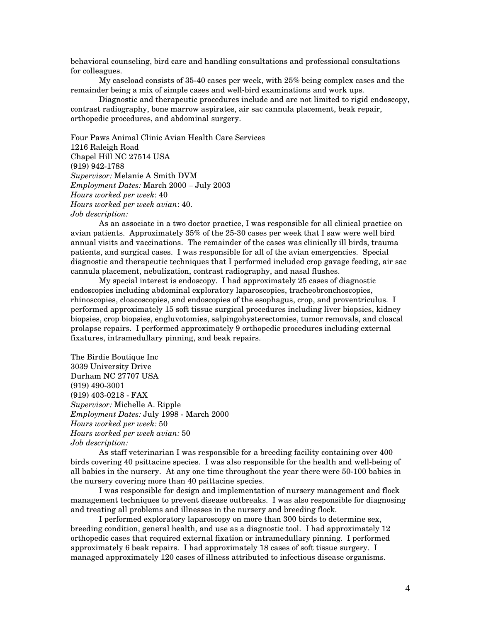behavioral counseling, bird care and handling consultations and professional consultations for colleagues.

 My caseload consists of 35-40 cases per week, with 25% being complex cases and the remainder being a mix of simple cases and well-bird examinations and work ups.

Diagnostic and therapeutic procedures include and are not limited to rigid endoscopy, contrast radiography, bone marrow aspirates, air sac cannula placement, beak repair, orthopedic procedures, and abdominal surgery.

Four Paws Animal Clinic Avian Health Care Services 1216 Raleigh Road Chapel Hill NC 27514 USA (919) 942-1788 *Supervisor:* Melanie A Smith DVM *Employment Dates:* March 2000 – July 2003 *Hours worked per week*: 40 *Hours worked per week avian*: 40. *Job description:* 

As an associate in a two doctor practice, I was responsible for all clinical practice on avian patients. Approximately 35% of the 25-30 cases per week that I saw were well bird annual visits and vaccinations. The remainder of the cases was clinically ill birds, trauma patients, and surgical cases. I was responsible for all of the avian emergencies. Special diagnostic and therapeutic techniques that I performed included crop gavage feeding, air sac cannula placement, nebulization, contrast radiography, and nasal flushes.

My special interest is endoscopy. I had approximately 25 cases of diagnostic endoscopies including abdominal exploratory laparoscopies, tracheobronchoscopies, rhinoscopies, cloacoscopies, and endoscopies of the esophagus, crop, and proventriculus. I performed approximately 15 soft tissue surgical procedures including liver biopsies, kidney biopsies, crop biopsies, engluvotomies, salpingohysterectomies, tumor removals, and cloacal prolapse repairs. I performed approximately 9 orthopedic procedures including external fixatures, intramedullary pinning, and beak repairs.

The Birdie Boutique Inc 3039 University Drive Durham NC 27707 USA (919) 490-3001 (919) 403-0218 - FAX *Supervisor:* Michelle A. Ripple *Employment Dates:* July 1998 - March 2000 *Hours worked per week:* 50 *Hours worked per week avian:* 50 *Job description:* 

As staff veterinarian I was responsible for a breeding facility containing over 400 birds covering 40 psittacine species. I was also responsible for the health and well-being of all babies in the nursery. At any one time throughout the year there were 50-100 babies in the nursery covering more than 40 psittacine species.

I was responsible for design and implementation of nursery management and flock management techniques to prevent disease outbreaks. I was also responsible for diagnosing and treating all problems and illnesses in the nursery and breeding flock.

I performed exploratory laparoscopy on more than 300 birds to determine sex, breeding condition, general health, and use as a diagnostic tool. I had approximately 12 orthopedic cases that required external fixation or intramedullary pinning. I performed approximately 6 beak repairs. I had approximately 18 cases of soft tissue surgery. I managed approximately 120 cases of illness attributed to infectious disease organisms.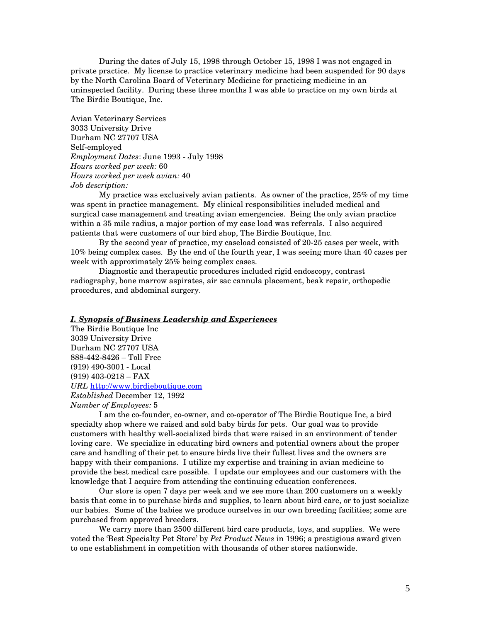During the dates of July 15, 1998 through October 15, 1998 I was not engaged in private practice. My license to practice veterinary medicine had been suspended for 90 days by the North Carolina Board of Veterinary Medicine for practicing medicine in an uninspected facility. During these three months I was able to practice on my own birds at The Birdie Boutique, Inc.

Avian Veterinary Services 3033 University Drive Durham NC 27707 USA Self-employed *Employment Dates*: June 1993 - July 1998 *Hours worked per week:* 60 *Hours worked per week avian:* 40 *Job description:*

 My practice was exclusively avian patients. As owner of the practice, 25% of my time was spent in practice management. My clinical responsibilities included medical and surgical case management and treating avian emergencies. Being the only avian practice within a 35 mile radius, a major portion of my case load was referrals. I also acquired patients that were customers of our bird shop, The Birdie Boutique, Inc.

 By the second year of practice, my caseload consisted of 20-25 cases per week, with 10% being complex cases. By the end of the fourth year, I was seeing more than 40 cases per week with approximately 25% being complex cases.

 Diagnostic and therapeutic procedures included rigid endoscopy, contrast radiography, bone marrow aspirates, air sac cannula placement, beak repair, orthopedic procedures, and abdominal surgery.

## *I. Synopsis of Business Leadership and Experiences*

The Birdie Boutique Inc 3039 University Drive Durham NC 27707 USA 888-442-8426 – Toll Free (919) 490-3001 - Local (919) 403-0218 – FAX *URL* http://www.birdieboutique.com *Established* December 12, 1992 *Number of Employees:* 5

I am the co-founder, co-owner, and co-operator of The Birdie Boutique Inc, a bird specialty shop where we raised and sold baby birds for pets. Our goal was to provide customers with healthy well-socialized birds that were raised in an environment of tender loving care. We specialize in educating bird owners and potential owners about the proper care and handling of their pet to ensure birds live their fullest lives and the owners are happy with their companions. I utilize my expertise and training in avian medicine to provide the best medical care possible. I update our employees and our customers with the knowledge that I acquire from attending the continuing education conferences.

 Our store is open 7 days per week and we see more than 200 customers on a weekly basis that come in to purchase birds and supplies, to learn about bird care, or to just socialize our babies. Some of the babies we produce ourselves in our own breeding facilities; some are purchased from approved breeders.

 We carry more than 2500 different bird care products, toys, and supplies. We were voted the 'Best Specialty Pet Store' by *Pet Product News* in 1996; a prestigious award given to one establishment in competition with thousands of other stores nationwide.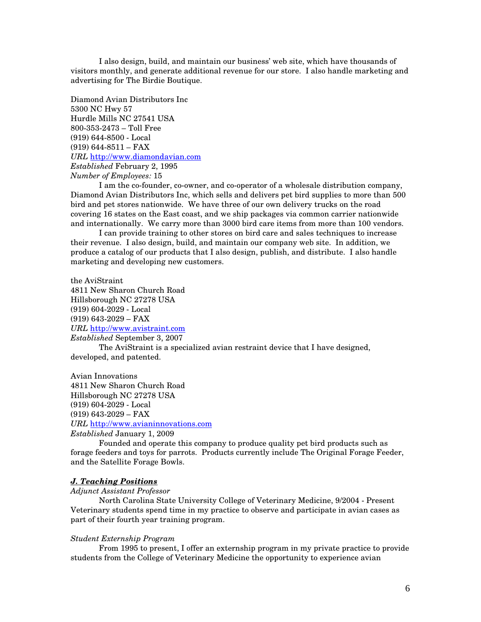I also design, build, and maintain our business' web site, which have thousands of visitors monthly, and generate additional revenue for our store. I also handle marketing and advertising for The Birdie Boutique.

Diamond Avian Distributors Inc 5300 NC Hwy 57 Hurdle Mills NC 27541 USA 800-353-2473 – Toll Free (919) 644-8500 - Local (919) 644-8511 – FAX *URL* http://www.diamondavian.com *Established* February 2, 1995 *Number of Employees:* 15

 I am the co-founder, co-owner, and co-operator of a wholesale distribution company, Diamond Avian Distributors Inc, which sells and delivers pet bird supplies to more than 500 bird and pet stores nationwide. We have three of our own delivery trucks on the road covering 16 states on the East coast, and we ship packages via common carrier nationwide and internationally. We carry more than 3000 bird care items from more than 100 vendors.

 I can provide training to other stores on bird care and sales techniques to increase their revenue. I also design, build, and maintain our company web site. In addition, we produce a catalog of our products that I also design, publish, and distribute. I also handle marketing and developing new customers.

the AviStraint 4811 New Sharon Church Road Hillsborough NC 27278 USA (919) 604-2029 - Local (919) 643-2029 – FAX *URL* http://www.avistraint.com *Established* September 3, 2007 The AviStraint is a specialized avian restraint device that I have designed, developed, and patented.

Avian Innovations 4811 New Sharon Church Road Hillsborough NC 27278 USA (919) 604-2029 - Local (919) 643-2029 – FAX *URL* http://www.avianinnovations.com *Established* January 1, 2009

Founded and operate this company to produce quality pet bird products such as

forage feeders and toys for parrots. Products currently include The Original Forage Feeder, and the Satellite Forage Bowls.

## *J. Teaching Positions*

*Adjunct Assistant Professor* 

North Carolina State University College of Veterinary Medicine, 9/2004 - Present Veterinary students spend time in my practice to observe and participate in avian cases as part of their fourth year training program.

#### *Student Externship Program*

From 1995 to present, I offer an externship program in my private practice to provide students from the College of Veterinary Medicine the opportunity to experience avian